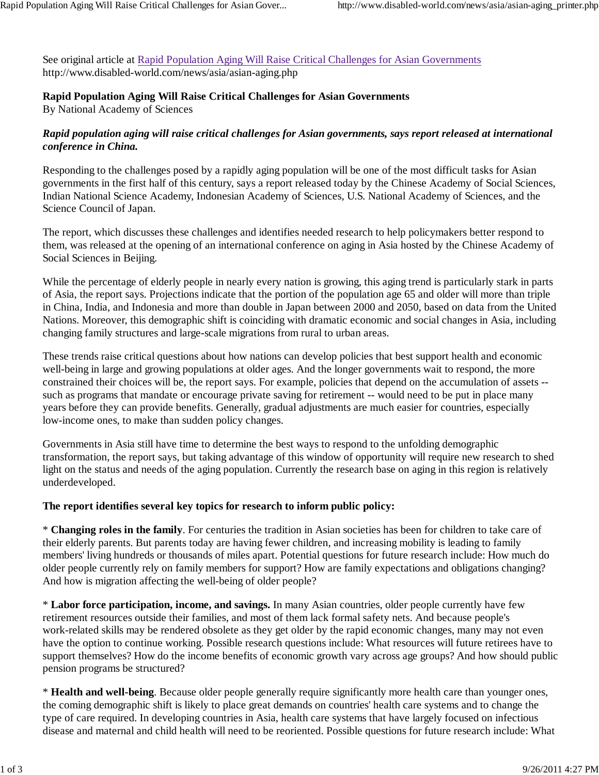See original article at Rapid Population Aging Will Raise Critical Challenges for Asian Governments http://www.disabled-world.com/news/asia/asian-aging.php

# **Rapid Population Aging Will Raise Critical Challenges for Asian Governments**

By National Academy of Sciences

## *Rapid population aging will raise critical challenges for Asian governments, says report released at international conference in China.*

Responding to the challenges posed by a rapidly aging population will be one of the most difficult tasks for Asian governments in the first half of this century, says a report released today by the Chinese Academy of Social Sciences, Indian National Science Academy, Indonesian Academy of Sciences, U.S. National Academy of Sciences, and the Science Council of Japan.

The report, which discusses these challenges and identifies needed research to help policymakers better respond to them, was released at the opening of an international conference on aging in Asia hosted by the Chinese Academy of Social Sciences in Beijing.

While the percentage of elderly people in nearly every nation is growing, this aging trend is particularly stark in parts of Asia, the report says. Projections indicate that the portion of the population age 65 and older will more than triple in China, India, and Indonesia and more than double in Japan between 2000 and 2050, based on data from the United Nations. Moreover, this demographic shift is coinciding with dramatic economic and social changes in Asia, including changing family structures and large-scale migrations from rural to urban areas.

These trends raise critical questions about how nations can develop policies that best support health and economic well-being in large and growing populations at older ages. And the longer governments wait to respond, the more constrained their choices will be, the report says. For example, policies that depend on the accumulation of assets - such as programs that mandate or encourage private saving for retirement -- would need to be put in place many years before they can provide benefits. Generally, gradual adjustments are much easier for countries, especially low-income ones, to make than sudden policy changes.

Governments in Asia still have time to determine the best ways to respond to the unfolding demographic transformation, the report says, but taking advantage of this window of opportunity will require new research to shed light on the status and needs of the aging population. Currently the research base on aging in this region is relatively underdeveloped.

### **The report identifies several key topics for research to inform public policy:**

\* **Changing roles in the family**. For centuries the tradition in Asian societies has been for children to take care of their elderly parents. But parents today are having fewer children, and increasing mobility is leading to family members' living hundreds or thousands of miles apart. Potential questions for future research include: How much do older people currently rely on family members for support? How are family expectations and obligations changing? And how is migration affecting the well-being of older people?

\* **Labor force participation, income, and savings.** In many Asian countries, older people currently have few retirement resources outside their families, and most of them lack formal safety nets. And because people's work-related skills may be rendered obsolete as they get older by the rapid economic changes, many may not even have the option to continue working. Possible research questions include: What resources will future retirees have to support themselves? How do the income benefits of economic growth vary across age groups? And how should public pension programs be structured?

\* **Health and well-being**. Because older people generally require significantly more health care than younger ones, the coming demographic shift is likely to place great demands on countries' health care systems and to change the type of care required. In developing countries in Asia, health care systems that have largely focused on infectious disease and maternal and child health will need to be reoriented. Possible questions for future research include: What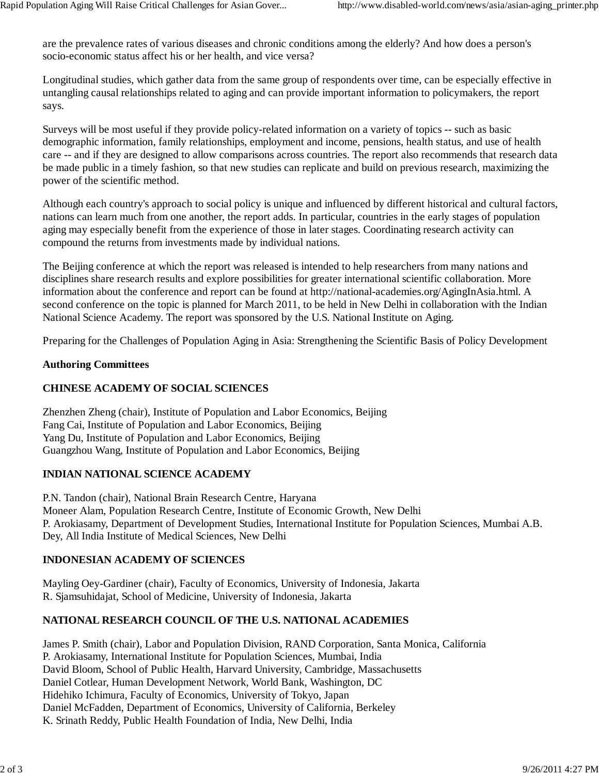are the prevalence rates of various diseases and chronic conditions among the elderly? And how does a person's socio-economic status affect his or her health, and vice versa?

Longitudinal studies, which gather data from the same group of respondents over time, can be especially effective in untangling causal relationships related to aging and can provide important information to policymakers, the report says.

Surveys will be most useful if they provide policy-related information on a variety of topics -- such as basic demographic information, family relationships, employment and income, pensions, health status, and use of health care -- and if they are designed to allow comparisons across countries. The report also recommends that research data be made public in a timely fashion, so that new studies can replicate and build on previous research, maximizing the power of the scientific method.

Although each country's approach to social policy is unique and influenced by different historical and cultural factors, nations can learn much from one another, the report adds. In particular, countries in the early stages of population aging may especially benefit from the experience of those in later stages. Coordinating research activity can compound the returns from investments made by individual nations.

The Beijing conference at which the report was released is intended to help researchers from many nations and disciplines share research results and explore possibilities for greater international scientific collaboration. More information about the conference and report can be found at http://national-academies.org/AgingInAsia.html. A second conference on the topic is planned for March 2011, to be held in New Delhi in collaboration with the Indian National Science Academy. The report was sponsored by the U.S. National Institute on Aging.

Preparing for the Challenges of Population Aging in Asia: Strengthening the Scientific Basis of Policy Development

#### **Authoring Committees**

### **CHINESE ACADEMY OF SOCIAL SCIENCES**

Zhenzhen Zheng (chair), Institute of Population and Labor Economics, Beijing Fang Cai, Institute of Population and Labor Economics, Beijing Yang Du, Institute of Population and Labor Economics, Beijing Guangzhou Wang, Institute of Population and Labor Economics, Beijing

### **INDIAN NATIONAL SCIENCE ACADEMY**

P.N. Tandon (chair), National Brain Research Centre, Haryana Moneer Alam, Population Research Centre, Institute of Economic Growth, New Delhi P. Arokiasamy, Department of Development Studies, International Institute for Population Sciences, Mumbai A.B. Dey, All India Institute of Medical Sciences, New Delhi

### **INDONESIAN ACADEMY OF SCIENCES**

Mayling Oey-Gardiner (chair), Faculty of Economics, University of Indonesia, Jakarta R. Sjamsuhidajat, School of Medicine, University of Indonesia, Jakarta

### **NATIONAL RESEARCH COUNCIL OF THE U.S. NATIONAL ACADEMIES**

James P. Smith (chair), Labor and Population Division, RAND Corporation, Santa Monica, California P. Arokiasamy, International Institute for Population Sciences, Mumbai, India David Bloom, School of Public Health, Harvard University, Cambridge, Massachusetts Daniel Cotlear, Human Development Network, World Bank, Washington, DC Hidehiko Ichimura, Faculty of Economics, University of Tokyo, Japan Daniel McFadden, Department of Economics, University of California, Berkeley K. Srinath Reddy, Public Health Foundation of India, New Delhi, India